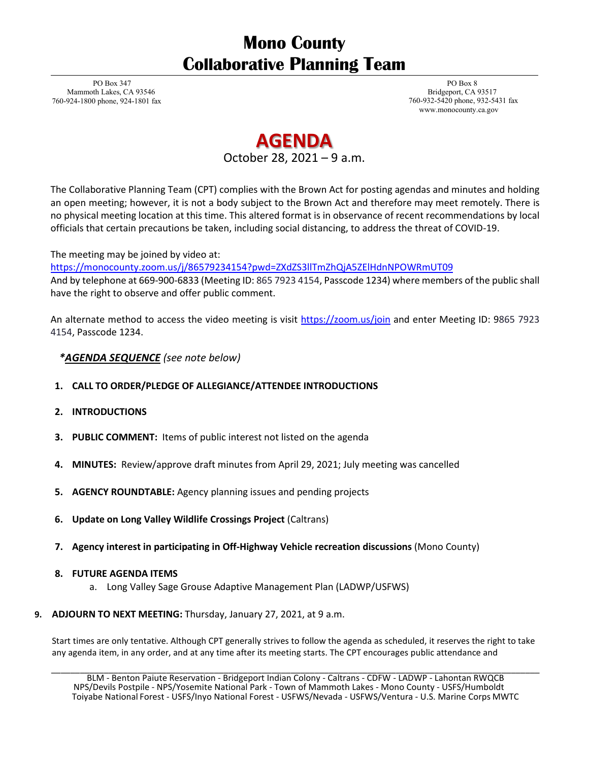## **Mono County Collaborative Planning Team**

PO Box 347 Mammoth Lakes, CA 93546 760-924-1800 phone, 924-1801 fax

PO Box 8 Bridgeport, CA 93517 760-932-5420 phone, 932-5431 fax [www.monocounty.ca.gov](http://www.monocounty.ca.gov/)

# **AGENDA**

October 28, 2021 – 9 a.m.

The Collaborative Planning Team (CPT) complies with the Brown Act for posting agendas and minutes and holding an open meeting; however, it is not a body subject to the Brown Act and therefore may meet remotely. There is no physical meeting location at this time. This altered format is in observance of recent recommendations by local officials that certain precautions be taken, including social distancing, to address the threat of COVID-19.

#### The meeting may be joined by video at:

<https://monocounty.zoom.us/j/86579234154?pwd=ZXdZS3llTmZhQjA5ZElHdnNPOWRmUT09> And by telephone at 669-900-6833 (Meeting ID: 865 7923 4154, Passcode 1234) where members of the public shall have the right to observe and offer public comment.

An alternate method to access the video meeting is visit<https://zoom.us/join> and enter Meeting ID: 9865 7923 4154, Passcode 1234.

### *\*AGENDA SEQUENCE (see note below)*

- **1. CALL TO ORDER/PLEDGE OF ALLEGIANCE/ATTENDEE INTRODUCTIONS**
- **2. INTRODUCTIONS**
- **3. PUBLIC COMMENT:** Items of public interest not listed on the agenda
- **4. MINUTES:** Review/approve draft minutes from April 29, 2021; July meeting was cancelled
- **5. AGENCY ROUNDTABLE:** Agency planning issues and pending projects
- **6. Update on Long Valley Wildlife Crossings Project** (Caltrans)
- **7. Agency interest in participating in Off-Highway Vehicle recreation discussions** (Mono County)

#### **8. FUTURE AGENDA ITEMS**

- a. Long Valley Sage Grouse Adaptive Management Plan (LADWP/USFWS)
- **9. ADJOURN TO NEXT MEETING:** Thursday, January 27, 2021, at 9 a.m.

Start times are only tentative. Although CPT generally strives to follow the agenda as scheduled, it reserves the right to take any agenda item, in any order, and at any time after its meeting starts. The CPT encourages public attendance and